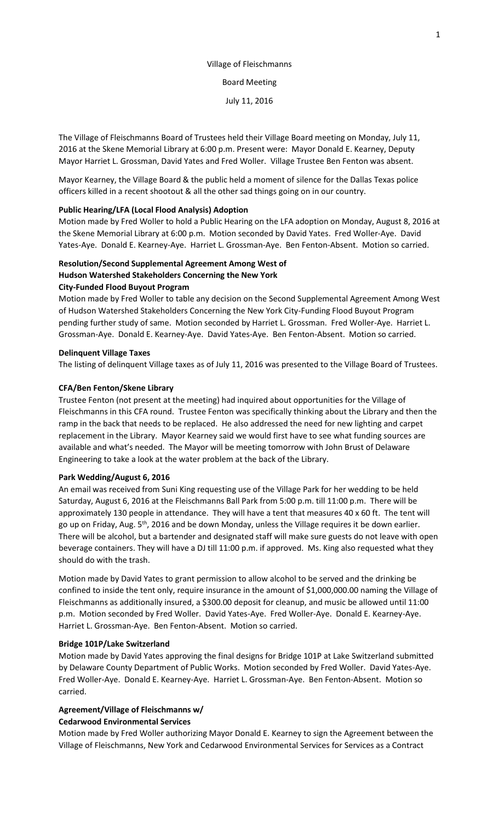# Village of Fleischmanns

# Board Meeting

July 11, 2016

The Village of Fleischmanns Board of Trustees held their Village Board meeting on Monday, July 11, 2016 at the Skene Memorial Library at 6:00 p.m. Present were: Mayor Donald E. Kearney, Deputy Mayor Harriet L. Grossman, David Yates and Fred Woller. Village Trustee Ben Fenton was absent.

Mayor Kearney, the Village Board & the public held a moment of silence for the Dallas Texas police officers killed in a recent shootout & all the other sad things going on in our country.

## **Public Hearing/LFA (Local Flood Analysis) Adoption**

Motion made by Fred Woller to hold a Public Hearing on the LFA adoption on Monday, August 8, 2016 at the Skene Memorial Library at 6:00 p.m. Motion seconded by David Yates. Fred Woller-Aye. David Yates-Aye. Donald E. Kearney-Aye. Harriet L. Grossman-Aye. Ben Fenton-Absent. Motion so carried.

# **Resolution/Second Supplemental Agreement Among West of Hudson Watershed Stakeholders Concerning the New York City-Funded Flood Buyout Program**

Motion made by Fred Woller to table any decision on the Second Supplemental Agreement Among West of Hudson Watershed Stakeholders Concerning the New York City-Funding Flood Buyout Program pending further study of same. Motion seconded by Harriet L. Grossman. Fred Woller-Aye. Harriet L. Grossman-Aye. Donald E. Kearney-Aye. David Yates-Aye. Ben Fenton-Absent. Motion so carried.

## **Delinquent Village Taxes**

The listing of delinquent Village taxes as of July 11, 2016 was presented to the Village Board of Trustees.

# **CFA/Ben Fenton/Skene Library**

Trustee Fenton (not present at the meeting) had inquired about opportunities for the Village of Fleischmanns in this CFA round. Trustee Fenton was specifically thinking about the Library and then the ramp in the back that needs to be replaced. He also addressed the need for new lighting and carpet replacement in the Library. Mayor Kearney said we would first have to see what funding sources are available and what's needed. The Mayor will be meeting tomorrow with John Brust of Delaware Engineering to take a look at the water problem at the back of the Library.

## **Park Wedding/August 6, 2016**

An email was received from Suni King requesting use of the Village Park for her wedding to be held Saturday, August 6, 2016 at the Fleischmanns Ball Park from 5:00 p.m. till 11:00 p.m. There will be approximately 130 people in attendance. They will have a tent that measures 40 x 60 ft. The tent will go up on Friday, Aug.  $5<sup>th</sup>$ , 2016 and be down Monday, unless the Village requires it be down earlier. There will be alcohol, but a bartender and designated staff will make sure guests do not leave with open beverage containers. They will have a DJ till 11:00 p.m. if approved. Ms. King also requested what they should do with the trash.

Motion made by David Yates to grant permission to allow alcohol to be served and the drinking be confined to inside the tent only, require insurance in the amount of \$1,000,000.00 naming the Village of Fleischmanns as additionally insured, a \$300.00 deposit for cleanup, and music be allowed until 11:00 p.m. Motion seconded by Fred Woller. David Yates-Aye. Fred Woller-Aye. Donald E. Kearney-Aye. Harriet L. Grossman-Aye. Ben Fenton-Absent. Motion so carried.

## **Bridge 101P/Lake Switzerland**

Motion made by David Yates approving the final designs for Bridge 101P at Lake Switzerland submitted by Delaware County Department of Public Works. Motion seconded by Fred Woller. David Yates-Aye. Fred Woller-Aye. Donald E. Kearney-Aye. Harriet L. Grossman-Aye. Ben Fenton-Absent. Motion so carried.

## **Agreement/Village of Fleischmanns w/ Cedarwood Environmental Services**

Motion made by Fred Woller authorizing Mayor Donald E. Kearney to sign the Agreement between the Village of Fleischmanns, New York and Cedarwood Environmental Services for Services as a Contract